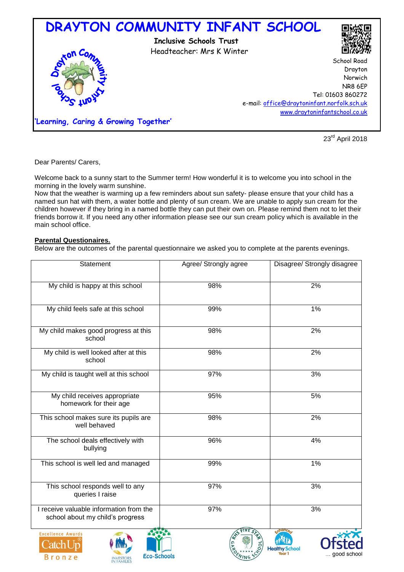

23rd April 2018

Dear Parents/ Carers,

Welcome back to a sunny start to the Summer term! How wonderful it is to welcome you into school in the morning in the lovely warm sunshine.

Now that the weather is warming up a few reminders about sun safety- please ensure that your child has a named sun hat with them, a water bottle and plenty of sun cream. We are unable to apply sun cream for the children however if they bring in a named bottle they can put their own on. Please remind them not to let their friends borrow it. If you need any other information please see our sun cream policy which is available in the main school office.

# **Parental Questionaires.**

Below are the outcomes of the parental questionnaire we asked you to complete at the parents evenings.

| Statement                                                                   | Agree/ Strongly agree | Disagree/ Strongly disagree |
|-----------------------------------------------------------------------------|-----------------------|-----------------------------|
| My child is happy at this school                                            | 98%                   | 2%                          |
| My child feels safe at this school                                          | 99%                   | $1\%$                       |
| My child makes good progress at this<br>school                              | 98%                   | 2%                          |
| My child is well looked after at this<br>school                             | 98%                   | 2%                          |
| My child is taught well at this school                                      | 97%                   | 3%                          |
| My child receives appropriate<br>homework for their age                     | 95%                   | 5%                          |
| This school makes sure its pupils are<br>well behaved                       | 98%                   | 2%                          |
| The school deals effectively with<br>bullying                               | 96%                   | 4%                          |
| This school is well led and managed                                         | 99%                   | $1\%$                       |
| This school responds well to any<br>queries I raise                         | 97%                   | 3%                          |
| I receive valuable information from the<br>school about my child's progress | 97%                   | 3%                          |
| <b>Excellence Awards</b><br>$\sim$ $1$ T T                                  |                       |                             |